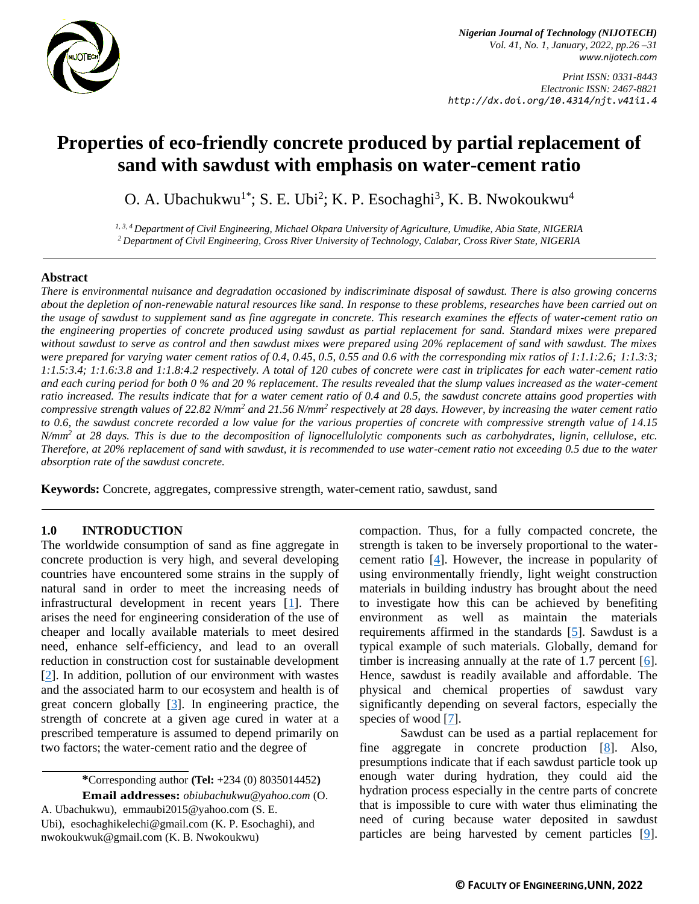

*Nigerian Journal of Technology (NIJOTECH) Vol. 41, No. 1, January, 2022, pp.26 –31 [www.nijotech.com](http://www.nijotech.com/)*

*Print ISSN: 0331-8443 Electronic ISSN: 2467-8821 http://dx.doi.org/10.4314/njt.v41i1.4*

# **Properties of eco-friendly concrete produced by partial replacement of sand with sawdust with emphasis on water-cement ratio**

O. A. Ubachukwu<sup>1\*</sup>; S. E. Ubi<sup>2</sup>; K. P. Esochaghi<sup>3</sup>, K. B. Nwokoukwu<sup>4</sup>

*1, 3, 4 Department of Civil Engineering, Michael Okpara University of Agriculture, Umudike, Abia State, NIGERIA <sup>2</sup>Department of Civil Engineering, Cross River University of Technology, Calabar, Cross River State, NIGERIA*

#### **Abstract**

*There is environmental nuisance and degradation occasioned by indiscriminate disposal of sawdust. There is also growing concerns about the depletion of non-renewable natural resources like sand. In response to these problems, researches have been carried out on the usage of sawdust to supplement sand as fine aggregate in concrete. This research examines the effects of water-cement ratio on the engineering properties of concrete produced using sawdust as partial replacement for sand. Standard mixes were prepared without sawdust to serve as control and then sawdust mixes were prepared using 20% replacement of sand with sawdust. The mixes were prepared for varying water cement ratios of 0.4, 0.45, 0.5, 0.55 and 0.6 with the corresponding mix ratios of 1:1.1:2.6; 1:1.3:3; 1:1.5:3.4; 1:1.6:3.8 and 1:1.8:4.2 respectively. A total of 120 cubes of concrete were cast in triplicates for each water-cement ratio and each curing period for both 0 % and 20 % replacement. The results revealed that the slump values increased as the water-cement ratio increased. The results indicate that for a water cement ratio of 0.4 and 0.5, the sawdust concrete attains good properties with compressive strength values of 22.82 N/mm<sup>2</sup> and 21.56 N/mm<sup>2</sup> respectively at 28 days. However, by increasing the water cement ratio to 0.6, the sawdust concrete recorded a low value for the various properties of concrete with compressive strength value of 14.15 N/mm<sup>2</sup> at 28 days. This is due to the decomposition of lignocellulolytic components such as carbohydrates, lignin, cellulose, etc. Therefore, at 20% replacement of sand with sawdust, it is recommended to use water-cement ratio not exceeding 0.5 due to the water absorption rate of the sawdust concrete.* 

**Keywords:** Concrete, aggregates, compressive strength, water-cement ratio, sawdust, sand

#### **1.0 INTRODUCTION**

The worldwide consumption of sand as fine aggregate in concrete production is very high, and several developing countries have encountered some strains in the supply of natural sand in order to meet the increasing needs of infrastructural development in recent years  $[1]$ . There arises the need for engineering consideration of the use of cheaper and locally available materials to meet desired need, enhance self-efficiency, and lead to an overall reduction in construction cost for sustainable development [\[2\]](#page-4-1). In addition, pollution of our environment with wastes and the associated harm to our ecosystem and health is of great concern globally [\[3\]](#page-4-2). In engineering practice, the strength of concrete at a given age cured in water at a prescribed temperature is assumed to depend primarily on two factors; the water-cement ratio and the degree of

**\***Corresponding author **[\(Te](mailto:samnnaemeka.ugwu@unn.edu.ng)l:** +234 (0) 8035014452**)**

**Email addresses:** *[obiubachukwu@yahoo.com](mailto:obiubachukwu@yahoo.com)* (O. A. Ubachukwu), [emmaubi2015@yahoo.com](mailto:emmaubi2015@yahoo.com) (S. E. Ubi), [esochaghikelechi@gmail.com](mailto:esochaghikelechi@gmail.com) (K. P. Esochaghi), and [nwokoukwuk@gmail.com](mailto:nwokoukwuk@gmail.com) (K. B. Nwokoukwu)

compaction. Thus, for a fully compacted concrete, the strength is taken to be inversely proportional to the watercement ratio [\[4\]](#page-4-3). However, the increase in popularity of using environmentally friendly, light weight construction materials in building industry has brought about the need to investigate how this can be achieved by benefiting environment as well as maintain the materials requirements affirmed in the standards [\[5\]](#page-4-4). Sawdust is a typical example of such materials. Globally, demand for timber is increasing annually at the rate of 1.7 percent [\[6\]](#page-4-5). Hence, sawdust is readily available and affordable. The physical and chemical properties of sawdust vary significantly depending on several factors, especially the species of wood [\[7\]](#page-4-6).

Sawdust can be used as a partial replacement for fine aggregate in concrete production [\[8\]](#page-4-7). Also, presumptions indicate that if each sawdust particle took up enough water during hydration, they could aid the hydration process especially in the centre parts of concrete that is impossible to cure with water thus eliminating the need of curing because water deposited in sawdust particles are being harvested by cement particles [\[9\]](#page-4-8).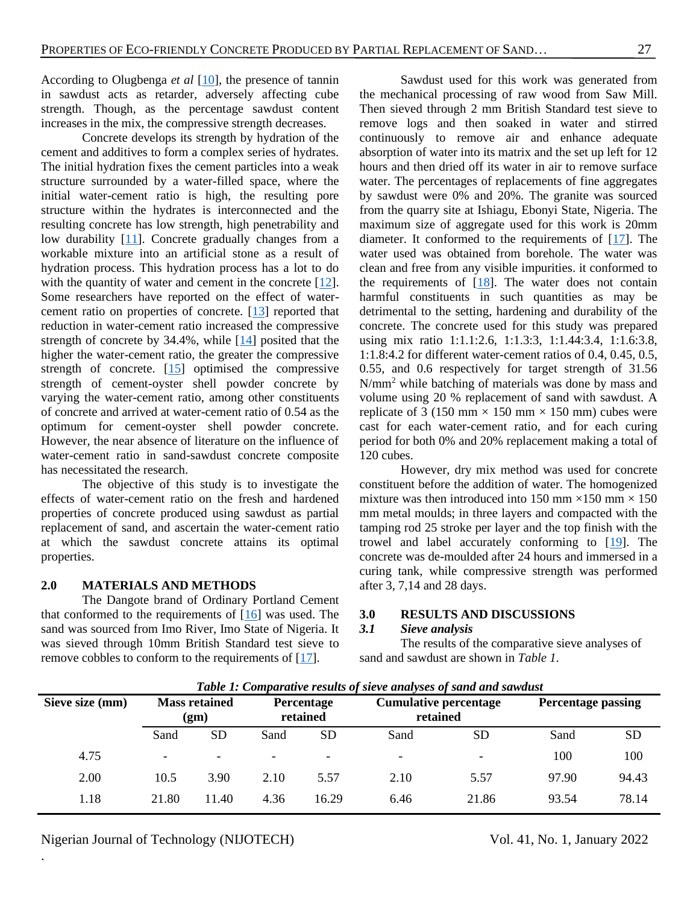According to Olugbenga *et al* [\[10\]](#page-4-9), the presence of tannin in sawdust acts as retarder, adversely affecting cube strength. Though, as the percentage sawdust content increases in the mix, the compressive strength decreases.

Concrete develops its strength by hydration of the cement and additives to form a complex series of hydrates. The initial hydration fixes the cement particles into a weak structure surrounded by a water-filled space, where the initial water-cement ratio is high, the resulting pore structure within the hydrates is interconnected and the resulting concrete has low strength, high penetrability and low durability [\[11\]](#page-4-10). Concrete gradually changes from a workable mixture into an artificial stone as a result of hydration process. This hydration process has a lot to do with the quantity of water and cement in the concrete [\[12\]](#page-4-11). Some researchers have reported on the effect of watercement ratio on properties of concrete. [\[13\]](#page-4-12) reported that reduction in water-cement ratio increased the compressive strength of concrete by 34.4%, while [\[14\]](#page-5-0) posited that the higher the water-cement ratio, the greater the compressive strength of concrete.  $[15]$  optimised the compressive strength of cement-oyster shell powder concrete by varying the water-cement ratio, among other constituents of concrete and arrived at water-cement ratio of 0.54 as the optimum for cement-oyster shell powder concrete. However, the near absence of literature on the influence of water-cement ratio in sand-sawdust concrete composite has necessitated the research.

The objective of this study is to investigate the effects of water-cement ratio on the fresh and hardened properties of concrete produced using sawdust as partial replacement of sand, and ascertain the water-cement ratio at which the sawdust concrete attains its optimal properties.

## **2.0 MATERIALS AND METHODS**

The Dangote brand of Ordinary Portland Cement that conformed to the requirements of  $[16]$  was used. The sand was sourced from Imo River, Imo State of Nigeria. It was sieved through 10mm British Standard test sieve to remove cobbles to conform to the requirements of [\[17\]](#page-5-3).

Sawdust used for this work was generated from the mechanical processing of raw wood from Saw Mill. Then sieved through 2 mm British Standard test sieve to remove logs and then soaked in water and stirred continuously to remove air and enhance adequate absorption of water into its matrix and the set up left for 12 hours and then dried off its water in air to remove surface water. The percentages of replacements of fine aggregates by sawdust were 0% and 20%. The granite was sourced from the quarry site at Ishiagu, Ebonyi State, Nigeria. The maximum size of aggregate used for this work is 20mm diameter. It conformed to the requirements of [\[17\]](#page-5-3). The water used was obtained from borehole. The water was clean and free from any visible impurities. it conformed to the requirements of  $[18]$ . The water does not contain harmful constituents in such quantities as may be detrimental to the setting, hardening and durability of the concrete. The concrete used for this study was prepared using mix ratio 1:1.1:2.6, 1:1.3:3, 1:1.44:3.4, 1:1.6:3.8, 1:1.8:4.2 for different water-cement ratios of 0.4, 0.45, 0.5, 0.55, and 0.6 respectively for target strength of 31.56 N/mm<sup>2</sup> while batching of materials was done by mass and volume using 20 % replacement of sand with sawdust. A replicate of 3 (150 mm  $\times$  150 mm  $\times$  150 mm) cubes were cast for each water-cement ratio, and for each curing period for both 0% and 20% replacement making a total of 120 cubes.

However, dry mix method was used for concrete constituent before the addition of water. The homogenized mixture was then introduced into 150 mm  $\times$ 150 mm  $\times$  150 mm metal moulds; in three layers and compacted with the tamping rod 25 stroke per layer and the top finish with the trowel and label accurately conforming to [\[19\]](#page-5-5). The concrete was de-moulded after 24 hours and immersed in a curing tank, while compressive strength was performed after 3, 7,14 and 28 days.

#### **3.0 RESULTS AND DISCUSSIONS**

#### *3.1 Sieve analysis*

The results of the comparative sieve analyses of sand and sawdust are shown in *Table 1*.

| Tubic 1. Comparative results of sieve analyses of suna and suivalist |                              |                          |                        |                          |                                          |                          |                           |           |  |  |  |
|----------------------------------------------------------------------|------------------------------|--------------------------|------------------------|--------------------------|------------------------------------------|--------------------------|---------------------------|-----------|--|--|--|
| Sieve size (mm)                                                      | <b>Mass retained</b><br>(gm) |                          | Percentage<br>retained |                          | <b>Cumulative percentage</b><br>retained |                          | <b>Percentage passing</b> |           |  |  |  |
|                                                                      | Sand                         | <b>SD</b>                | Sand                   | <b>SD</b>                | Sand                                     | <b>SD</b>                | Sand                      | <b>SD</b> |  |  |  |
| 4.75                                                                 | $\overline{\phantom{0}}$     | $\overline{\phantom{0}}$ |                        | $\overline{\phantom{a}}$ | $\overline{\phantom{0}}$                 | $\overline{\phantom{0}}$ | 100                       | 100       |  |  |  |
| 2.00                                                                 | 10.5                         | 3.90                     | 2.10                   | 5.57                     | 2.10                                     | 5.57                     | 97.90                     | 94.43     |  |  |  |
| 1.18                                                                 | 21.80                        | 11.40                    | 4.36                   | 16.29                    | 6.46                                     | 21.86                    | 93.54                     | 78.14     |  |  |  |

*Table 1: Comparative results of sieve analyses of sand and sawdust*

Nigerian Journal of Technology (NIJOTECH) Vol. 41, No. 1, January 2022

.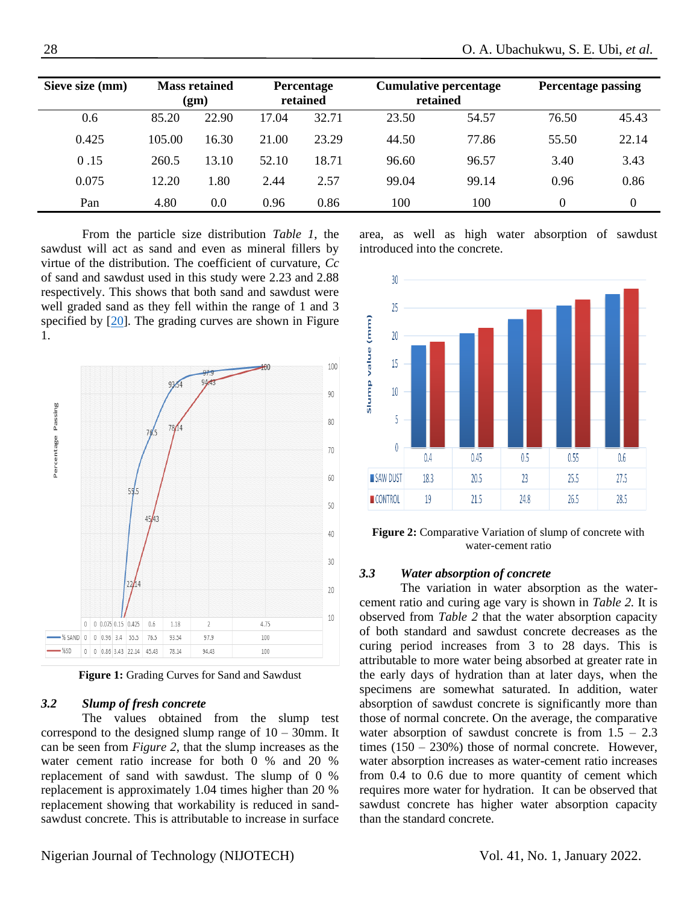| Sieve size (mm) | <b>Mass retained</b><br>(gm) |       | <b>Percentage</b><br>retained |       | <b>Cumulative percentage</b><br>retained |       | <b>Percentage passing</b> |          |
|-----------------|------------------------------|-------|-------------------------------|-------|------------------------------------------|-------|---------------------------|----------|
| 0.6             | 85.20                        | 22.90 | 17.04                         | 32.71 | 23.50                                    | 54.57 | 76.50                     | 45.43    |
| 0.425           | 105.00                       | 16.30 | 21.00                         | 23.29 | 44.50                                    | 77.86 | 55.50                     | 22.14    |
| 0.15            | 260.5                        | 13.10 | 52.10                         | 18.71 | 96.60                                    | 96.57 | 3.40                      | 3.43     |
| 0.075           | 12.20                        | 1.80  | 2.44                          | 2.57  | 99.04                                    | 99.14 | 0.96                      | 0.86     |
| Pan             | 4.80                         | 0.0   | 0.96                          | 0.86  | 100                                      | 100   | 0                         | $\Omega$ |

From the particle size distribution *Table 1*, the sawdust will act as sand and even as mineral fillers by virtue of the distribution. The coefficient of curvature, *Cc* of sand and sawdust used in this study were 2.23 and 2.88 respectively. This shows that both sand and sawdust were well graded sand as they fell within the range of 1 and 3 specified by [\[20\]](#page-5-6). The grading curves are shown in Figure 1.



**Figure 1:** Grading Curves for Sand and Sawdust

#### *3.2 Slump of fresh concrete*

The values obtained from the slump test correspond to the designed slump range of  $10 - 30$ mm. It can be seen from *Figure 2*, that the slump increases as the water cement ratio increase for both 0 % and 20 % replacement of sand with sawdust. The slump of 0 % replacement is approximately 1.04 times higher than 20 % replacement showing that workability is reduced in sandsawdust concrete. This is attributable to increase in surface area, as well as high water absorption of sawdust introduced into the concrete.



**Figure 2:** Comparative Variation of slump of concrete with water-cement ratio

### *3.3 Water absorption of concrete*

The variation in water absorption as the watercement ratio and curing age vary is shown in *Table 2.* It is observed from *Table 2* that the water absorption capacity of both standard and sawdust concrete decreases as the curing period increases from 3 to 28 days. This is attributable to more water being absorbed at greater rate in the early days of hydration than at later days, when the specimens are somewhat saturated. In addition, water absorption of sawdust concrete is significantly more than those of normal concrete. On the average, the comparative water absorption of sawdust concrete is from  $1.5 - 2.3$ times  $(150 - 230%)$  those of normal concrete. However, water absorption increases as water-cement ratio increases from 0.4 to 0.6 due to more quantity of cement which requires more water for hydration. It can be observed that sawdust concrete has higher water absorption capacity than the standard concrete.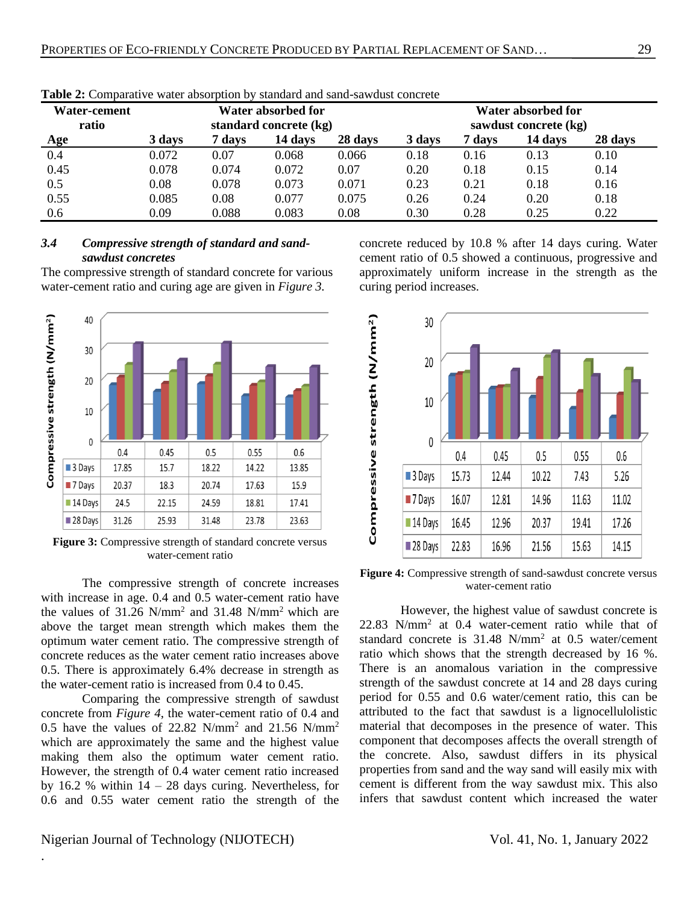| Water-cement<br>ratio | Water absorbed for<br>standard concrete (kg) |        |         |         | Water absorbed for<br>sawdust concrete (kg) |        |         |         |
|-----------------------|----------------------------------------------|--------|---------|---------|---------------------------------------------|--------|---------|---------|
| <b>Age</b>            | 3 days                                       | 7 days | 14 days | 28 days | 3 days                                      | 7 davs | 14 days | 28 days |
| 0.4                   | 0.072                                        | 0.07   | 0.068   | 0.066   | 0.18                                        | 0.16   | 0.13    | 0.10    |
| 0.45                  | 0.078                                        | 0.074  | 0.072   | 0.07    | 0.20                                        | 0.18   | 0.15    | 0.14    |
| 0.5                   | 0.08                                         | 0.078  | 0.073   | 0.071   | 0.23                                        | 0.21   | 0.18    | 0.16    |
| 0.55                  | 0.085                                        | 0.08   | 0.077   | 0.075   | 0.26                                        | 0.24   | 0.20    | 0.18    |
| 0.6                   | 0.09                                         | 0.088  | 0.083   | 0.08    | 0.30                                        | 0.28   | 0.25    | 0.22    |

**Table 2:** Comparative water absorption by standard and sand-sawdust concrete

## *3.4 Compressive strength of standard and sandsawdust concretes*

The compressive strength of standard concrete for various water-cement ratio and curing age are given in *Figure 3.*



Figure 3: Compressive strength of standard concrete versus water-cement ratio

The compressive strength of concrete increases with increase in age. 0.4 and 0.5 water-cement ratio have the values of  $31.26$  N/mm<sup>2</sup> and  $31.48$  N/mm<sup>2</sup> which are above the target mean strength which makes them the optimum water cement ratio. The compressive strength of concrete reduces as the water cement ratio increases above 0.5. There is approximately 6.4% decrease in strength as the water-cement ratio is increased from 0.4 to 0.45.

Comparing the compressive strength of sawdust concrete from *Figure 4*, the water-cement ratio of 0.4 and 0.5 have the values of 22.82 N/mm<sup>2</sup> and 21.56 N/mm<sup>2</sup> which are approximately the same and the highest value making them also the optimum water cement ratio. However, the strength of 0.4 water cement ratio increased by 16.2 % within  $14 - 28$  days curing. Nevertheless, for 0.6 and 0.55 water cement ratio the strength of the

concrete reduced by 10.8 % after 14 days curing. Water cement ratio of 0.5 showed a continuous, progressive and approximately uniform increase in the strength as the curing period increases.



**Figure 4:** Compressive strength of sand-sawdust concrete versus water-cement ratio

However, the highest value of sawdust concrete is 22.83 N/mm<sup>2</sup> at 0.4 water-cement ratio while that of standard concrete is  $31.48 \text{ N/mm}^2$  at 0.5 water/cement ratio which shows that the strength decreased by 16 %. There is an anomalous variation in the compressive strength of the sawdust concrete at 14 and 28 days curing period for 0.55 and 0.6 water/cement ratio, this can be attributed to the fact that sawdust is a lignocellulolistic material that decomposes in the presence of water. This component that decomposes affects the overall strength of the concrete. Also, sawdust differs in its physical properties from sand and the way sand will easily mix with cement is different from the way sawdust mix. This also infers that sawdust content which increased the water

.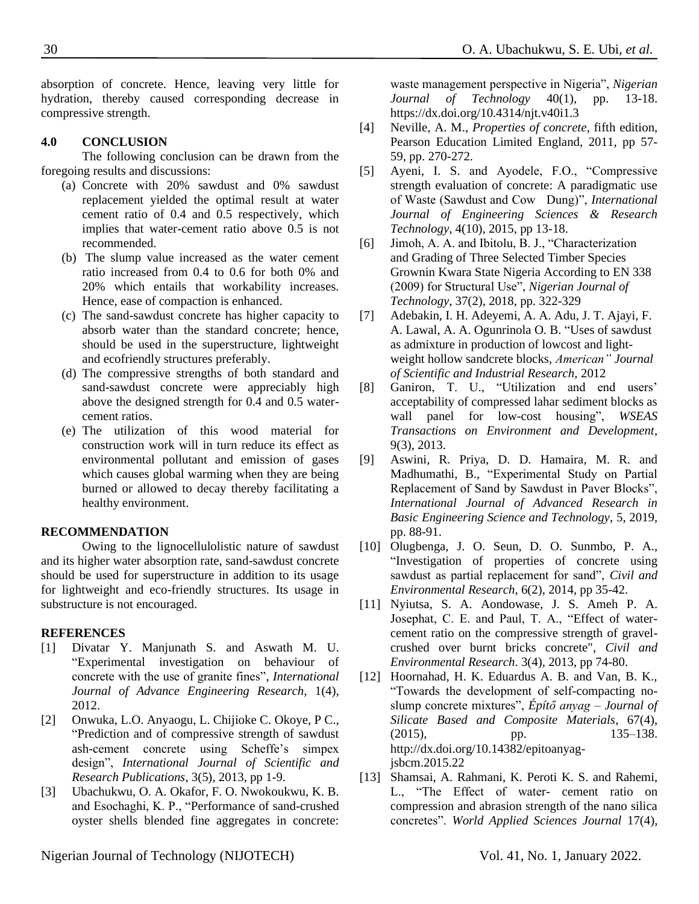absorption of concrete. Hence, leaving very little for hydration, thereby caused corresponding decrease in compressive strength.

## **4.0 CONCLUSION**

The following conclusion can be drawn from the foregoing results and discussions:

- (a) Concrete with 20% sawdust and 0% sawdust replacement yielded the optimal result at water cement ratio of 0.4 and 0.5 respectively, which implies that water-cement ratio above 0.5 is not recommended.
- (b) The slump value increased as the water cement ratio increased from 0.4 to 0.6 for both 0% and 20% which entails that workability increases. Hence, ease of compaction is enhanced.
- (c) The sand-sawdust concrete has higher capacity to absorb water than the standard concrete; hence, should be used in the superstructure, lightweight and ecofriendly structures preferably.
- (d) The compressive strengths of both standard and sand-sawdust concrete were appreciably high above the designed strength for 0.4 and 0.5 watercement ratios.
- (e) The utilization of this wood material for construction work will in turn reduce its effect as environmental pollutant and emission of gases which causes global warming when they are being burned or allowed to decay thereby facilitating a healthy environment.

## **RECOMMENDATION**

Owing to the lignocellulolistic nature of sawdust and its higher water absorption rate, sand-sawdust concrete should be used for superstructure in addition to its usage for lightweight and eco-friendly structures. Its usage in substructure is not encouraged.

#### **REFERENCES**

- <span id="page-4-0"></span>[1] Divatar Y. Manjunath S. and Aswath M. U. "Experimental investigation on behaviour of concrete with the use of granite fines", *International Journal of Advance Engineering Research,* 1(4), 2012.
- <span id="page-4-1"></span>[2] Onwuka, L.O. Anyaogu, L. Chijioke C. Okoye, P C., "Prediction and of compressive strength of sawdust ash-cement concrete using Scheffe's simpex design", *International Journal of Scientific and Research Publications*, 3(5), 2013, pp 1-9.
- <span id="page-4-2"></span>[3] Ubachukwu, O. A. Okafor, F. O. Nwokoukwu, K. B. and Esochaghi, K. P., "Performance of sand-crushed oyster shells blended fine aggregates in concrete:

<span id="page-4-3"></span>waste management perspective in Nigeria", *Nigerian Journal of Technology* 40(1), pp. 13-18. <https://dx.doi.org/10.4314/njt.v40i1.3>

- [4] Neville, A. M., *Properties of concrete*, fifth edition, Pearson Education Limited England, 2011, pp 57- 59, pp. 270-272.
- <span id="page-4-4"></span>[5] Ayeni, I. S. and Ayodele, F.O., "Compressive strength evaluation of concrete: A paradigmatic use of Waste (Sawdust and Cow Dung)", *International Journal of Engineering Sciences & Research Technology*, 4(10), 2015, pp 13-18.
- <span id="page-4-5"></span>[6] Jimoh, A. A. and Ibitolu, B. J., "Characterization and Grading of Three Selected Timber Species Grownin Kwara State Nigeria According to EN 338 (2009) for Structural Use", *Nigerian Journal of Technology*, 37(2), 2018, pp. 322-329
- <span id="page-4-6"></span>[7] Adebakin, I. H. Adeyemi, A. A. Adu, J. T. Ajayi, F. A. Lawal, A. A. Ogunrinola O. B. "Uses of sawdust as admixture in production of lowcost and lightweight hollow sandcrete blocks, *American" Journal of Scientific and Industrial Research,* 2012
- <span id="page-4-7"></span>[8] Ganiron, T. U., "Utilization and end users' acceptability of compressed lahar sediment blocks as wall panel for low-cost housing", *WSEAS Transactions on Environment and Development*, 9(3), 2013.
- <span id="page-4-8"></span>[9] Aswini, R. Priya, D. D. Hamaira, M. R. and Madhumathi, B., "Experimental Study on Partial Replacement of Sand by Sawdust in Paver Blocks", *International Journal of Advanced Research in Basic Engineering Science and Technology*, 5, 2019, pp. 88-91.
- <span id="page-4-9"></span>[10] Olugbenga, J. O. Seun, D. O. Sunmbo, P. A., "Investigation of properties of concrete using sawdust as partial replacement for sand", *Civil and Environmental Research*, 6(2), 2014, pp 35-42.
- <span id="page-4-10"></span>[11] Nyiutsa, S. A. Aondowase, J. S. Ameh P. A. Josephat, C. E. and Paul, T. A., "Effect of watercement ratio on the compressive strength of gravelcrushed over burnt bricks concrete", *Civil and Environmental Research*. 3(4), 2013, pp 74-80.
- <span id="page-4-11"></span>[12] Hoornahad, H. K. Eduardus A. B. and Van, B. K., "Towards the development of self-compacting noslump concrete mixtures", *Építő anyag – Journal of Silicate Based and Composite Materials*, 67(4), (2015), pp. 135–138. [http://dx.doi.org/10.14382/epitoanyag](http://dx.doi.org/10.14382/epitoanyag-jsbcm.2015.22)[jsbcm.2015.22](http://dx.doi.org/10.14382/epitoanyag-jsbcm.2015.22)
- <span id="page-4-12"></span>[13] Shamsai, A. Rahmani, K. Peroti K. S. and Rahemi, L., "The Effect of water- cement ratio on compression and abrasion strength of the nano silica concretes". *World Applied Sciences Journal* 17(4),